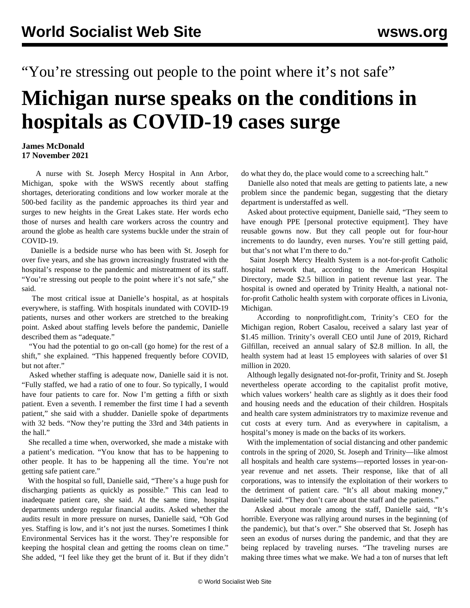## "You're stressing out people to the point where it's not safe"

## **Michigan nurse speaks on the conditions in hospitals as COVID-19 cases surge**

## **James McDonald 17 November 2021**

 A nurse with St. Joseph Mercy Hospital in Ann Arbor, Michigan, spoke with the WSWS recently about staffing shortages, deteriorating conditions and low worker morale at the 500-bed facility as the pandemic approaches its third year and surges to new heights in the Great Lakes state. Her words echo those of nurses and health care workers across the country and around the globe as health care systems buckle under the strain of COVID-19.

 Danielle is a bedside nurse who has been with St. Joseph for over five years, and she has grown increasingly frustrated with the hospital's response to the pandemic and mistreatment of its staff. "You're stressing out people to the point where it's not safe," she said.

 The most critical issue at Danielle's hospital, as at hospitals everywhere, is staffing. With hospitals inundated with COVID-19 patients, nurses and other workers are stretched to the breaking point. Asked about staffing levels before the pandemic, Danielle described them as "adequate."

 "You had the potential to go on-call (go home) for the rest of a shift," she explained. "This happened frequently before COVID, but not after."

 Asked whether staffing is adequate now, Danielle said it is not. "Fully staffed, we had a ratio of one to four. So typically, I would have four patients to care for. Now I'm getting a fifth or sixth patient. Even a seventh. I remember the first time I had a seventh patient," she said with a shudder. Danielle spoke of departments with 32 beds. "Now they're putting the 33rd and 34th patients in the hall."

 She recalled a time when, overworked, she made a mistake with a patient's medication. "You know that has to be happening to other people. It has to be happening all the time. You're not getting safe patient care."

 With the hospital so full, Danielle said, "There's a huge push for discharging patients as quickly as possible." This can lead to inadequate patient care, she said. At the same time, hospital departments undergo regular financial audits. Asked whether the audits result in more pressure on nurses, Danielle said, "Oh God yes. Staffing is low, and it's not just the nurses. Sometimes I think Environmental Services has it the worst. They're responsible for keeping the hospital clean and getting the rooms clean on time." She added, "I feel like they get the brunt of it. But if they didn't

do what they do, the place would come to a screeching halt."

 Danielle also noted that meals are getting to patients late, a new problem since the pandemic began, suggesting that the dietary department is understaffed as well.

 Asked about protective equipment, Danielle said, "They seem to have enough PPE [personal protective equipment]. They have reusable gowns now. But they call people out for four-hour increments to do laundry, even nurses. You're still getting paid, but that's not what I'm there to do."

 Saint Joseph Mercy Health System is a not-for-profit Catholic hospital network that, according to the American Hospital Directory, made \$2.5 billion in patient revenue last year. The hospital is owned and operated by Trinity Health, a national notfor-profit Catholic health system with corporate offices in Livonia, Michigan.

 According to nonprofitlight.com, Trinity's CEO for the Michigan region, Robert Casalou, received a salary last year of \$1.45 million. Trinity's overall CEO until June of 2019, Richard Gilfillan, received an annual salary of \$2.8 million. In all, the health system had at least 15 employees with salaries of over \$1 million in 2020.

 Although legally designated not-for-profit, Trinity and St. Joseph nevertheless operate according to the capitalist profit motive, which values workers' health care as slightly as it does their food and housing needs and the education of their children. Hospitals and health care system administrators try to maximize revenue and cut costs at every turn. And as everywhere in capitalism, a hospital's money is made on the backs of its workers.

 With the implementation of social distancing and other pandemic controls in the spring of 2020, St. Joseph and Trinity—like almost all hospitals and health care systems—reported losses in year-onyear revenue and net assets. Their response, like that of all corporations, was to intensify the exploitation of their workers to the detriment of patient care. "It's all about making money," Danielle said. "They don't care about the staff and the patients."

 Asked about morale among the staff, Danielle said, "It's horrible. Everyone was rallying around nurses in the beginning (of the pandemic), but that's over." She observed that St. Joseph has seen an exodus of nurses during the pandemic, and that they are being replaced by traveling nurses. "The traveling nurses are making three times what we make. We had a ton of nurses that left